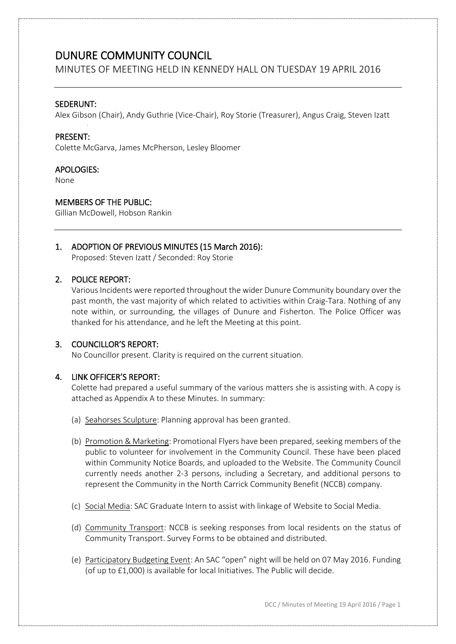MINUTES OF MEETING HELD IN KENNEDY HALL ON TUESDAY 19 APRIL 2016

## SEDERUNT:

Alex Gibson (Chair), Andy Guthrie (Vice-Chair), Roy Storie (Treasurer), Angus Craig, Steven Izatt

## PRESENT:

Colette McGarva, James McPherson, Lesley Bloomer

## APOLOGIES:

None

## MEMBERS OF THE PUBLIC:

Gillian McDowell, Hobson Rankin

# 1. ADOPTION OF PREVIOUS MINUTES (15 March 2016):

Proposed: Steven Izatt / Seconded: Roy Storie

# 2. POLICE REPORT:

Various Incidents were reported throughout the wider Dunure Community boundary over the past month, the vast majority of which related to activities within Craig-Tara. Nothing of any note within, or surrounding, the villages of Dunure and Fisherton. The Police Officer was thanked for his attendance, and he left the Meeting at this point.

## 3. COUNCILLOR'S REPORT:

No Councillor present. Clarity is required on the current situation.

## 4. LINK OFFICER'S REPORT:

Colette had prepared a useful summary of the various matters she is assisting with. A copy is attached as Appendix A to these Minutes. In summary:

- (a) Seahorses Sculpture: Planning approval has been granted.
- (b) Promotion & Marketing: Promotional Flyers have been prepared, seeking members of the public to volunteer for involvement in the Community Council. These have been placed within Community Notice Boards, and uploaded to the Website. The Community Council currently needs another 2-3 persons, including a Secretary, and additional persons to represent the Community in the North Carrick Community Benefit (NCCB) company.
- (c) Social Media: SAC Graduate Intern to assist with linkage of Website to Social Media.
- (d) Community Transport: NCCB is seeking responses from local residents on the status of Community Transport. Survey Forms to be obtained and distributed.
- (e) Participatory Budgeting Event: An SAC "open" night will be held on 07 May 2016. Funding (of up to £1,000) is available for local Initiatives. The Public will decide.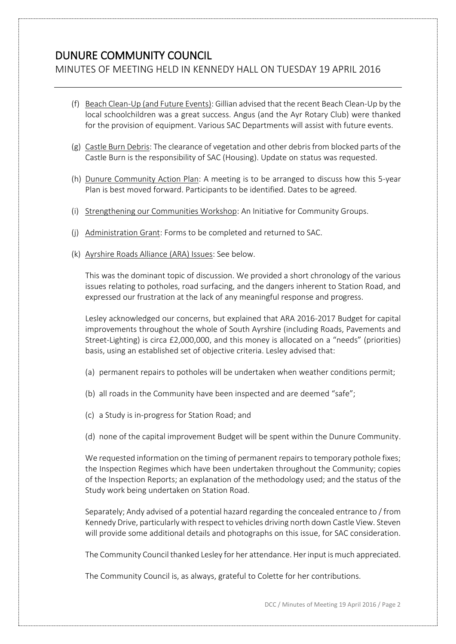MINUTES OF MEETING HELD IN KENNEDY HALL ON TUESDAY 19 APRIL 2016

- (f) Beach Clean-Up (and Future Events): Gillian advised that the recent Beach Clean-Up by the local schoolchildren was a great success. Angus (and the Ayr Rotary Club) were thanked for the provision of equipment. Various SAC Departments will assist with future events.
- (g) Castle Burn Debris: The clearance of vegetation and other debris from blocked parts of the Castle Burn is the responsibility of SAC (Housing). Update on status was requested.
- (h) Dunure Community Action Plan: A meeting is to be arranged to discuss how this 5-year Plan is best moved forward. Participants to be identified. Dates to be agreed.
- (i) Strengthening our Communities Workshop: An Initiative for Community Groups.
- (j) Administration Grant: Forms to be completed and returned to SAC.
- (k) Ayrshire Roads Alliance (ARA) Issues: See below.

This was the dominant topic of discussion. We provided a short chronology of the various issues relating to potholes, road surfacing, and the dangers inherent to Station Road, and expressed our frustration at the lack of any meaningful response and progress.

Lesley acknowledged our concerns, but explained that ARA 2016-2017 Budget for capital improvements throughout the whole of South Ayrshire (including Roads, Pavements and Street-Lighting) is circa £2,000,000, and this money is allocated on a "needs" (priorities) basis, using an established set of objective criteria. Lesley advised that:

- (a) permanent repairs to potholes will be undertaken when weather conditions permit;
- (b) all roads in the Community have been inspected and are deemed "safe";
- (c) a Study is in-progress for Station Road; and
- (d) none of the capital improvement Budget will be spent within the Dunure Community.

We requested information on the timing of permanent repairs to temporary pothole fixes; the Inspection Regimes which have been undertaken throughout the Community; copies of the Inspection Reports; an explanation of the methodology used; and the status of the Study work being undertaken on Station Road.

Separately; Andy advised of a potential hazard regarding the concealed entrance to / from Kennedy Drive, particularly with respect to vehicles driving north down Castle View. Steven will provide some additional details and photographs on this issue, for SAC consideration.

The Community Council thanked Lesley for her attendance. Her input is much appreciated.

The Community Council is, as always, grateful to Colette for her contributions.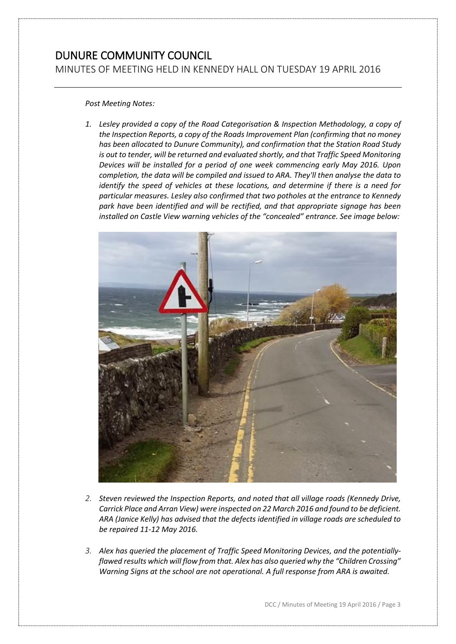MINUTES OF MEETING HELD IN KENNEDY HALL ON TUESDAY 19 APRIL 2016

### *Post Meeting Notes:*

*1. Lesley provided a copy of the Road Categorisation & Inspection Methodology, a copy of the Inspection Reports, a copy of the Roads Improvement Plan (confirming that no money has been allocated to Dunure Community), and confirmation that the Station Road Study is out to tender, will be returned and evaluated shortly, and that Traffic Speed Monitoring Devices will be installed for a period of one week commencing early May 2016. Upon completion, the data will be compiled and issued to ARA. They'll then analyse the data to identify the speed of vehicles at these locations, and determine if there is a need for particular measures. Lesley also confirmed that two potholes at the entrance to Kennedy park have been identified and will be rectified, and that appropriate signage has been installed on Castle View warning vehicles of the "concealed" entrance. See image below:* 



- *2. Steven reviewed the Inspection Reports, and noted that all village roads (Kennedy Drive, Carrick Place and Arran View) were inspected on 22 March 2016 and found to be deficient. ARA (Janice Kelly) has advised that the defects identified in village roads are scheduled to be repaired 11-12 May 2016.*
- *3. Alex has queried the placement of Traffic Speed Monitoring Devices, and the potentiallyflawed results which will flow from that. Alex has also queried why the "Children Crossing" Warning Signs at the school are not operational. A full response from ARA is awaited.*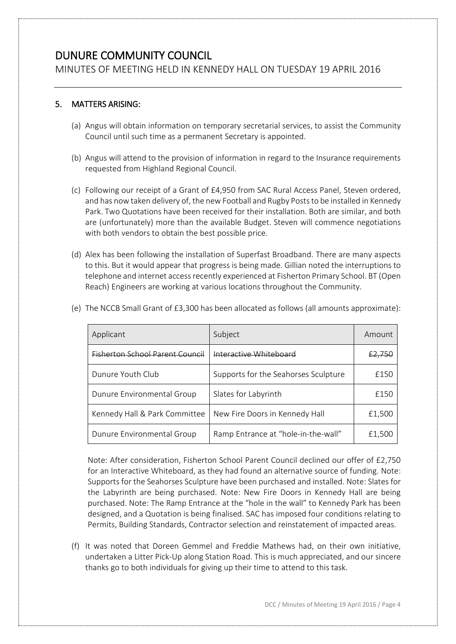MINUTES OF MEETING HELD IN KENNEDY HALL ON TUESDAY 19 APRIL 2016

# 5. MATTERS ARISING:

- (a) Angus will obtain information on temporary secretarial services, to assist the Community Council until such time as a permanent Secretary is appointed.
- (b) Angus will attend to the provision of information in regard to the Insurance requirements requested from Highland Regional Council.
- (c) Following our receipt of a Grant of £4,950 from SAC Rural Access Panel, Steven ordered, and has now taken delivery of, the new Football and Rugby Posts to be installed in Kennedy Park. Two Quotations have been received for their installation. Both are similar, and both are (unfortunately) more than the available Budget. Steven will commence negotiations with both vendors to obtain the best possible price.
- (d) Alex has been following the installation of Superfast Broadband. There are many aspects to this. But it would appear that progress is being made. Gillian noted the interruptions to telephone and internet access recently experienced at Fisherton Primary School. BT (Open Reach) Engineers are working at various locations throughout the Community.

| Applicant                       | Subject                              | Amount            |
|---------------------------------|--------------------------------------|-------------------|
| Eisherton School Parent Council | Interactive Whiteboard               | <del>£2,750</del> |
| Dunure Youth Club               | Supports for the Seahorses Sculpture | £150              |
| Dunure Environmental Group      | Slates for Labyrinth                 | £150              |
| Kennedy Hall & Park Committee   | New Fire Doors in Kennedy Hall       | £1,500            |
| Dunure Environmental Group      | Ramp Entrance at "hole-in-the-wall"  | £1,500            |

(e) The NCCB Small Grant of £3,300 has been allocated as follows (all amounts approximate):

Note: After consideration, Fisherton School Parent Council declined our offer of £2,750 for an Interactive Whiteboard, as they had found an alternative source of funding. Note: Supports for the Seahorses Sculpture have been purchased and installed. Note: Slates for the Labyrinth are being purchased. Note: New Fire Doors in Kennedy Hall are being purchased. Note: The Ramp Entrance at the "hole in the wall" to Kennedy Park has been designed, and a Quotation is being finalised. SAC has imposed four conditions relating to Permits, Building Standards, Contractor selection and reinstatement of impacted areas.

(f) It was noted that Doreen Gemmel and Freddie Mathews had, on their own initiative, undertaken a Litter Pick-Up along Station Road. This is much appreciated, and our sincere thanks go to both individuals for giving up their time to attend to this task.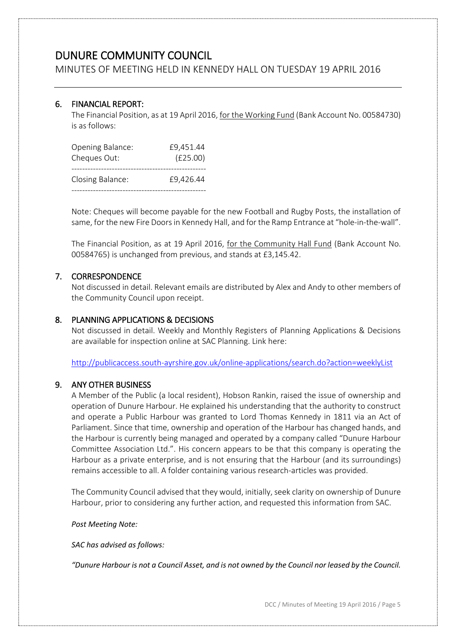MINUTES OF MEETING HELD IN KENNEDY HALL ON TUESDAY 19 APRIL 2016

# 6. FINANCIAL REPORT:

The Financial Position, as at 19 April 2016, for the Working Fund (Bank Account No. 00584730) is as follows:

| Opening Balance: | £9,451.44 |
|------------------|-----------|
| Cheques Out:     | (E25.00)  |
| Closing Balance: | £9,426.44 |

Note: Cheques will become payable for the new Football and Rugby Posts, the installation of same, for the new Fire Doors in Kennedy Hall, and for the Ramp Entrance at "hole-in-the-wall".

The Financial Position, as at 19 April 2016, for the Community Hall Fund (Bank Account No. 00584765) is unchanged from previous, and stands at £3,145.42.

# 7. CORRESPONDENCE

Not discussed in detail. Relevant emails are distributed by Alex and Andy to other members of the Community Council upon receipt.

# 8. PLANNING APPLICATIONS & DECISIONS

Not discussed in detail. Weekly and Monthly Registers of Planning Applications & Decisions are available for inspection online at SAC Planning. Link here:

<http://publicaccess.south-ayrshire.gov.uk/online-applications/search.do?action=weeklyList>

# 9. ANY OTHER BUSINESS

A Member of the Public (a local resident), Hobson Rankin, raised the issue of ownership and operation of Dunure Harbour. He explained his understanding that the authority to construct and operate a Public Harbour was granted to Lord Thomas Kennedy in 1811 via an Act of Parliament. Since that time, ownership and operation of the Harbour has changed hands, and the Harbour is currently being managed and operated by a company called "Dunure Harbour Committee Association Ltd.". His concern appears to be that this company is operating the Harbour as a private enterprise, and is not ensuring that the Harbour (and its surroundings) remains accessible to all. A folder containing various research-articles was provided.

The Community Council advised that they would, initially, seek clarity on ownership of Dunure Harbour, prior to considering any further action, and requested this information from SAC.

*Post Meeting Note:*

*SAC has advised as follows:*

*"Dunure Harbour is not a Council Asset, and is not owned by the Council nor leased by the Council.*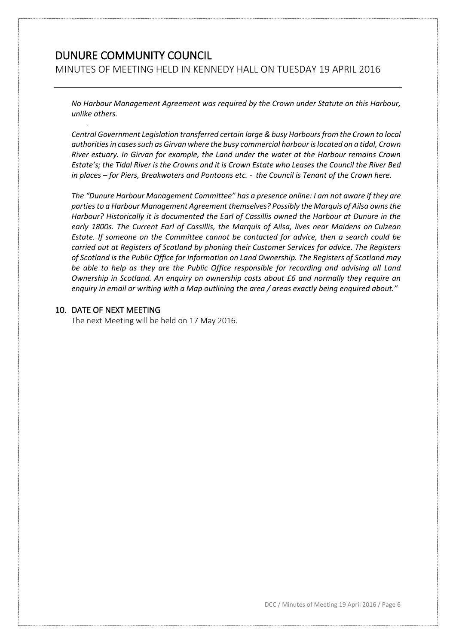MINUTES OF MEETING HELD IN KENNEDY HALL ON TUESDAY 19 APRIL 2016

*No Harbour Management Agreement was required by the Crown under Statute on this Harbour, unlike others.*

*Central Government Legislation transferred certain large & busy Harbours from the Crown to local authorities in cases such as Girvan where the busy commercial harbour is located on a tidal, Crown River estuary. In Girvan for example, the Land under the water at the Harbour remains Crown Estate's; the Tidal River is the Crowns and it is Crown Estate who Leases the Council the River Bed in places – for Piers, Breakwaters and Pontoons etc. - the Council is Tenant of the Crown here.*

*The "Dunure Harbour Management Committee" has a presence online: I am not aware if they are parties to a Harbour Management Agreement themselves? Possibly the Marquis of Ailsa owns the Harbour? Historically it is documented the Earl of Cassillis owned the Harbour at Dunure in the early 1800s. The Current Earl of Cassillis, the Marquis of Ailsa, lives near Maidens on Culzean Estate. If someone on the Committee cannot be contacted for advice, then a search could be carried out at Registers of Scotland by phoning their Customer Services for advice. The Registers of Scotland is the Public Office for Information on Land Ownership. The Registers of Scotland may be able to help as they are the Public Office responsible for recording and advising all Land Ownership in Scotland. An enquiry on ownership costs about £6 and normally they require an enquiry in email or writing with a Map outlining the area / areas exactly being enquired about."*

#### 10. DATE OF NEXT MEETING

The next Meeting will be held on 17 May 2016.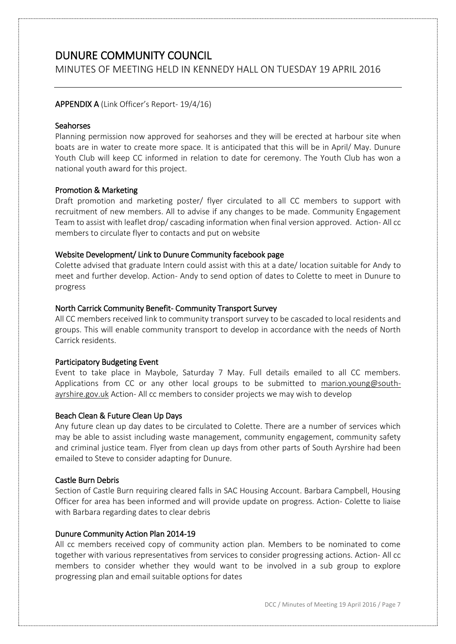MINUTES OF MEETING HELD IN KENNEDY HALL ON TUESDAY 19 APRIL 2016

## APPENDIX A (Link Officer's Report- 19/4/16)

### Seahorses

Planning permission now approved for seahorses and they will be erected at harbour site when boats are in water to create more space. It is anticipated that this will be in April/ May. Dunure Youth Club will keep CC informed in relation to date for ceremony. The Youth Club has won a national youth award for this project.

### Promotion & Marketing

Draft promotion and marketing poster/ flyer circulated to all CC members to support with recruitment of new members. All to advise if any changes to be made. Community Engagement Team to assist with leaflet drop/ cascading information when final version approved. Action- All cc members to circulate flyer to contacts and put on website

### Website Development/ Link to Dunure Community facebook page

Colette advised that graduate Intern could assist with this at a date/ location suitable for Andy to meet and further develop. Action- Andy to send option of dates to Colette to meet in Dunure to progress

### North Carrick Community Benefit- Community Transport Survey

All CC members received link to community transport survey to be cascaded to local residents and groups. This will enable community transport to develop in accordance with the needs of North Carrick residents.

#### Participatory Budgeting Event

Event to take place in Maybole, Saturday 7 May. Full details emailed to all CC members. Applications from CC or any other local groups to be submitted to [marion.young@south](mailto:marion.young@south-ayrshire.gov.uk)[ayrshire.gov.uk](mailto:marion.young@south-ayrshire.gov.uk) Action- All cc members to consider projects we may wish to develop

## Beach Clean & Future Clean Up Days

Any future clean up day dates to be circulated to Colette. There are a number of services which may be able to assist including waste management, community engagement, community safety and criminal justice team. Flyer from clean up days from other parts of South Ayrshire had been emailed to Steve to consider adapting for Dunure.

#### Castle Burn Debris

Section of Castle Burn requiring cleared falls in SAC Housing Account. Barbara Campbell, Housing Officer for area has been informed and will provide update on progress. Action- Colette to liaise with Barbara regarding dates to clear debris

## Dunure Community Action Plan 2014-19

All cc members received copy of community action plan. Members to be nominated to come together with various representatives from services to consider progressing actions. Action- All cc members to consider whether they would want to be involved in a sub group to explore progressing plan and email suitable options for dates